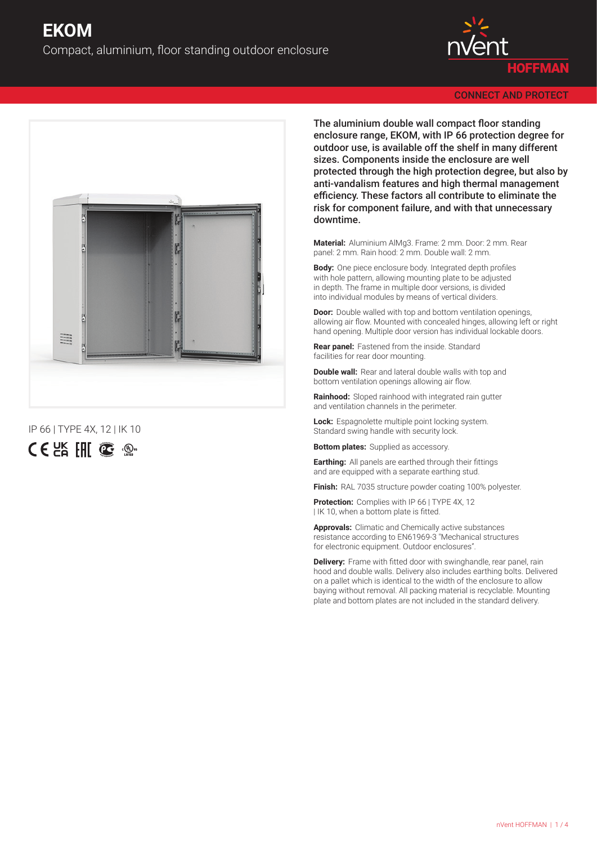



IP 66 | TYPE 4X, 12 | IK 10



The aluminium double wall compact floor standing enclosure range, EKOM, with IP 66 protection degree for outdoor use, is available off the shelf in many different sizes. Components inside the enclosure are well protected through the high protection degree, but also by anti-vandalism features and high thermal management efficiency. These factors all contribute to eliminate the risk for component failure, and with that unnecessary downtime.

**Material:** Aluminium AlMg3. Frame: 2 mm. Door: 2 mm. Rear panel: 2 mm. Rain hood: 2 mm. Double wall: 2 mm.

**Body:** One piece enclosure body. Integrated depth profiles with hole pattern, allowing mounting plate to be adjusted in depth. The frame in multiple door versions, is divided into individual modules by means of vertical dividers.

**Door:** Double walled with top and bottom ventilation openings, allowing air flow. Mounted with concealed hinges, allowing left or right hand opening. Multiple door version has individual lockable doors.

**Rear panel:** Fastened from the inside. Standard facilities for rear door mounting.

**Double wall:** Rear and lateral double walls with top and bottom ventilation openings allowing air flow.

**Rainhood:** Sloped rainhood with integrated rain gutter and ventilation channels in the perimeter.

**Lock:** Espagnolette multiple point locking system. Standard swing handle with security lock.

**Bottom plates:** Supplied as accessory.

**Earthing:** All panels are earthed through their fittings and are equipped with a separate earthing stud.

**Finish:** RAL 7035 structure powder coating 100% polyester.

**Protection:** Complies with IP 66 LTYPE 4X, 12 | IK 10, when a bottom plate is fitted.

**Approvals:** Climatic and Chemically active substances resistance according to EN61969-3 "Mechanical structures for electronic equipment. Outdoor enclosures".

**Delivery:** Frame with fitted door with swinghandle, rear panel, rain hood and double walls. Delivery also includes earthing bolts. Delivered on a pallet which is identical to the width of the enclosure to allow baying without removal. All packing material is recyclable. Mounting plate and bottom plates are not included in the standard delivery.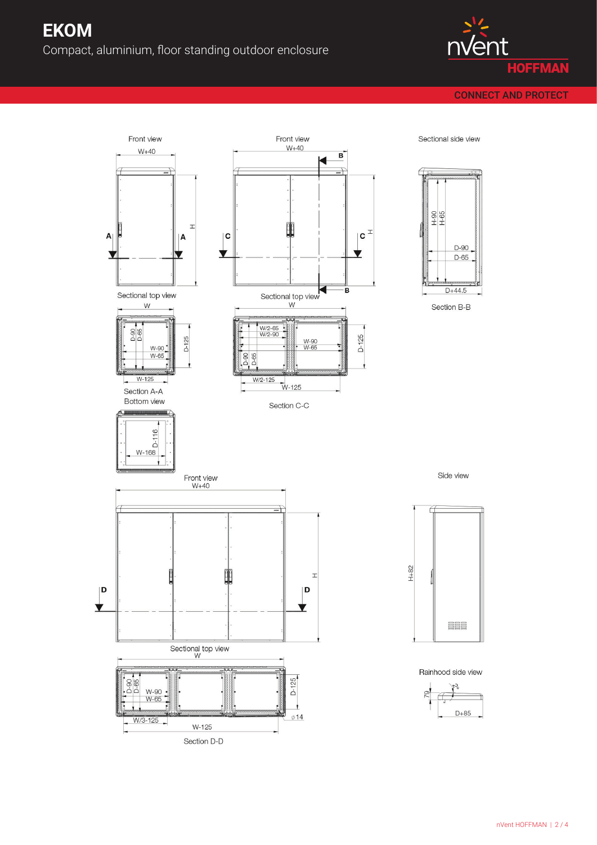

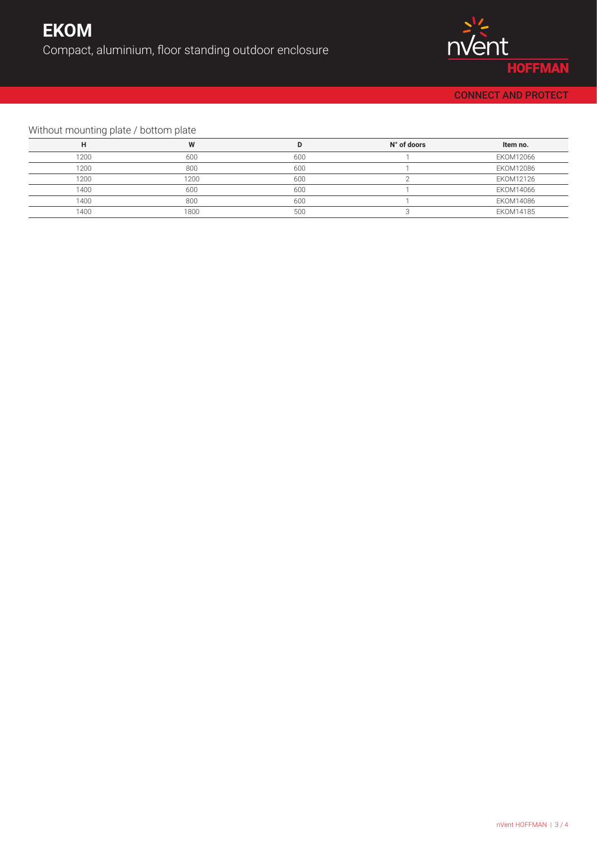

## Without mounting plate / bottom plate

|      | W    |     | N° of doors | Item no.  |
|------|------|-----|-------------|-----------|
| 1200 | 600  | 600 |             | EKOM12066 |
| 1200 | 800  | 600 |             | EKOM12086 |
| 1200 | 1200 | 600 |             | EKOM12126 |
| 1400 | 600  | 600 |             | EKOM14066 |
| 1400 | 800  | 600 |             | EKOM14086 |
| 1400 | 1800 | 500 |             | EKOM14185 |